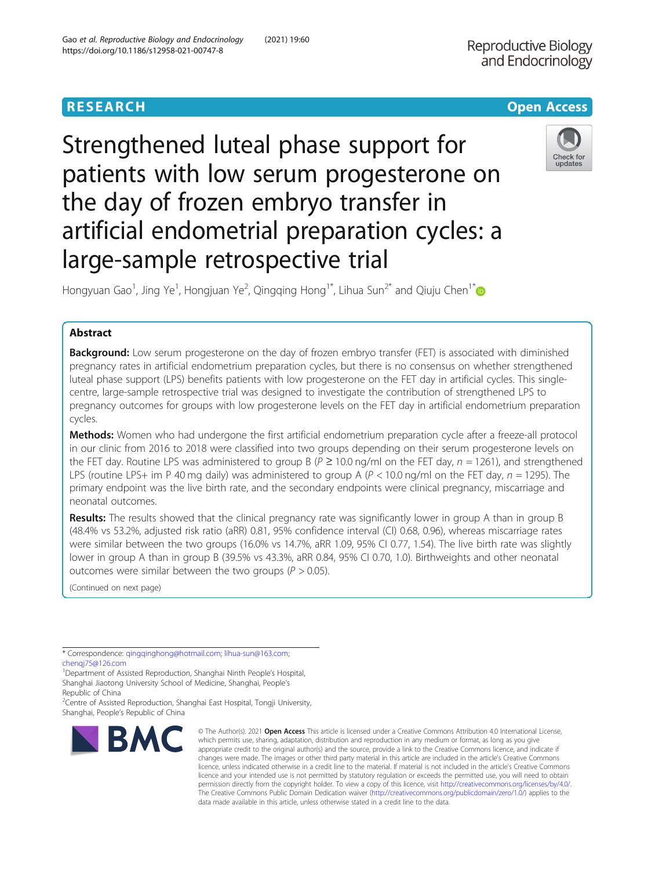# **RESEARCH CHE Open Access**

# Strengthened luteal phase support for patients with low serum progesterone on the day of frozen embryo transfer in artificial endometrial preparation cycles: a large-sample retrospective trial



Hongyuan Gao<sup>1</sup>, Jing Ye<sup>1</sup>, Hongjuan Ye<sup>2</sup>, Qingqing Hong<sup>1\*</sup>, Lihua Sun<sup>2\*</sup> and Qiuju Chen<sup>1\*</sup>

## Abstract

Background: Low serum progesterone on the day of frozen embryo transfer (FET) is associated with diminished pregnancy rates in artificial endometrium preparation cycles, but there is no consensus on whether strengthened luteal phase support (LPS) benefits patients with low progesterone on the FET day in artificial cycles. This singlecentre, large-sample retrospective trial was designed to investigate the contribution of strengthened LPS to pregnancy outcomes for groups with low progesterone levels on the FET day in artificial endometrium preparation cycles.

Methods: Women who had undergone the first artificial endometrium preparation cycle after a freeze-all protocol in our clinic from 2016 to 2018 were classified into two groups depending on their serum progesterone levels on the FET day. Routine LPS was administered to group B ( $P \ge 10.0$  ng/ml on the FET day,  $n = 1261$ ), and strengthened LPS (routine LPS+ im P 40 mg daily) was administered to group A ( $P < 10.0$  ng/ml on the FET day,  $n = 1295$ ). The primary endpoint was the live birth rate, and the secondary endpoints were clinical pregnancy, miscarriage and neonatal outcomes.

Results: The results showed that the clinical pregnancy rate was significantly lower in group A than in group B (48.4% vs 53.2%, adjusted risk ratio (aRR) 0.81, 95% confidence interval (CI) 0.68, 0.96), whereas miscarriage rates were similar between the two groups (16.0% vs 14.7%, aRR 1.09, 95% CI 0.77, 1.54). The live birth rate was slightly lower in group A than in group B (39.5% vs 43.3%, aRR 0.84, 95% CI 0.70, 1.0). Birthweights and other neonatal outcomes were similar between the two groups ( $P > 0.05$ ).

(Continued on next page)

\* Correspondence: [qingqinghong@hotmail.com;](mailto:qingqinghong@hotmail.com) [lihua-sun@163.com](mailto:lihua-sun@163.com);

chengi75@126.com

<sup>1</sup>Department of Assisted Reproduction, Shanghai Ninth People's Hospital, Shanghai Jiaotong University School of Medicine, Shanghai, People's Republic of China

<sup>2</sup> Centre of Assisted Reproduction, Shanghai East Hospital, Tongji University, Shanghai, People's Republic of China



© The Author(s), 2021 **Open Access** This article is licensed under a Creative Commons Attribution 4.0 International License, which permits use, sharing, adaptation, distribution and reproduction in any medium or format, as long as you give appropriate credit to the original author(s) and the source, provide a link to the Creative Commons licence, and indicate if changes were made. The images or other third party material in this article are included in the article's Creative Commons licence, unless indicated otherwise in a credit line to the material. If material is not included in the article's Creative Commons licence and your intended use is not permitted by statutory regulation or exceeds the permitted use, you will need to obtain permission directly from the copyright holder. To view a copy of this licence, visit [http://creativecommons.org/licenses/by/4.0/.](http://creativecommons.org/licenses/by/4.0/) The Creative Commons Public Domain Dedication waiver [\(http://creativecommons.org/publicdomain/zero/1.0/](http://creativecommons.org/publicdomain/zero/1.0/)) applies to the data made available in this article, unless otherwise stated in a credit line to the data.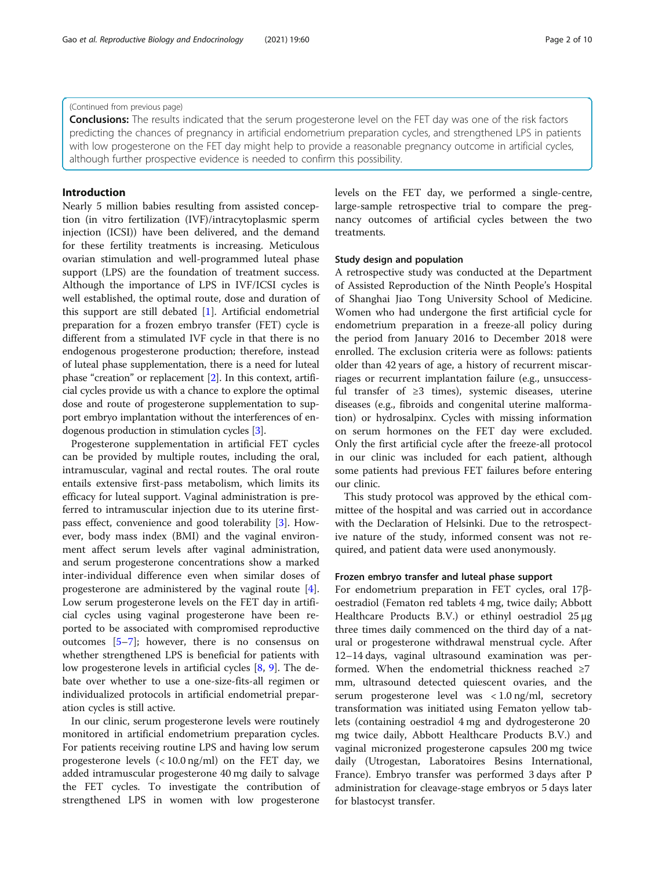#### (Continued from previous page)

**Conclusions:** The results indicated that the serum progesterone level on the FET day was one of the risk factors predicting the chances of pregnancy in artificial endometrium preparation cycles, and strengthened LPS in patients with low progesterone on the FET day might help to provide a reasonable pregnancy outcome in artificial cycles, although further prospective evidence is needed to confirm this possibility.

## Introduction

Nearly 5 million babies resulting from assisted conception (in vitro fertilization (IVF)/intracytoplasmic sperm injection (ICSI)) have been delivered, and the demand for these fertility treatments is increasing. Meticulous ovarian stimulation and well-programmed luteal phase support (LPS) are the foundation of treatment success. Although the importance of LPS in IVF/ICSI cycles is well established, the optimal route, dose and duration of this support are still debated [[1\]](#page-9-0). Artificial endometrial preparation for a frozen embryo transfer (FET) cycle is different from a stimulated IVF cycle in that there is no endogenous progesterone production; therefore, instead of luteal phase supplementation, there is a need for luteal phase "creation" or replacement [[2](#page-9-0)]. In this context, artificial cycles provide us with a chance to explore the optimal dose and route of progesterone supplementation to support embryo implantation without the interferences of endogenous production in stimulation cycles [\[3\]](#page-9-0).

Progesterone supplementation in artificial FET cycles can be provided by multiple routes, including the oral, intramuscular, vaginal and rectal routes. The oral route entails extensive first-pass metabolism, which limits its efficacy for luteal support. Vaginal administration is preferred to intramuscular injection due to its uterine firstpass effect, convenience and good tolerability [\[3](#page-9-0)]. However, body mass index (BMI) and the vaginal environment affect serum levels after vaginal administration, and serum progesterone concentrations show a marked inter-individual difference even when similar doses of progesterone are administered by the vaginal route [\[4](#page-9-0)]. Low serum progesterone levels on the FET day in artificial cycles using vaginal progesterone have been reported to be associated with compromised reproductive outcomes [[5](#page-9-0)–[7](#page-9-0)]; however, there is no consensus on whether strengthened LPS is beneficial for patients with low progesterone levels in artificial cycles [\[8](#page-9-0), [9](#page-9-0)]. The debate over whether to use a one-size-fits-all regimen or individualized protocols in artificial endometrial preparation cycles is still active.

In our clinic, serum progesterone levels were routinely monitored in artificial endometrium preparation cycles. For patients receiving routine LPS and having low serum progesterone levels (< 10.0 ng/ml) on the FET day, we added intramuscular progesterone 40 mg daily to salvage the FET cycles. To investigate the contribution of strengthened LPS in women with low progesterone

levels on the FET day, we performed a single-centre, large-sample retrospective trial to compare the pregnancy outcomes of artificial cycles between the two treatments.

#### Study design and population

A retrospective study was conducted at the Department of Assisted Reproduction of the Ninth People's Hospital of Shanghai Jiao Tong University School of Medicine. Women who had undergone the first artificial cycle for endometrium preparation in a freeze-all policy during the period from January 2016 to December 2018 were enrolled. The exclusion criteria were as follows: patients older than 42 years of age, a history of recurrent miscarriages or recurrent implantation failure (e.g., unsuccessful transfer of  $\geq$ 3 times), systemic diseases, uterine diseases (e.g., fibroids and congenital uterine malformation) or hydrosalpinx. Cycles with missing information on serum hormones on the FET day were excluded. Only the first artificial cycle after the freeze-all protocol in our clinic was included for each patient, although some patients had previous FET failures before entering our clinic.

This study protocol was approved by the ethical committee of the hospital and was carried out in accordance with the Declaration of Helsinki. Due to the retrospective nature of the study, informed consent was not required, and patient data were used anonymously.

#### Frozen embryo transfer and luteal phase support

For endometrium preparation in FET cycles, oral 17βoestradiol (Fematon red tablets 4 mg, twice daily; Abbott Healthcare Products B.V.) or ethinyl oestradiol 25 μg three times daily commenced on the third day of a natural or progesterone withdrawal menstrual cycle. After 12–14 days, vaginal ultrasound examination was performed. When the endometrial thickness reached  $\geq 7$ mm, ultrasound detected quiescent ovaries, and the serum progesterone level was < 1.0 ng/ml, secretory transformation was initiated using Fematon yellow tablets (containing oestradiol 4 mg and dydrogesterone 20 mg twice daily, Abbott Healthcare Products B.V.) and vaginal micronized progesterone capsules 200 mg twice daily (Utrogestan, Laboratoires Besins International, France). Embryo transfer was performed 3 days after P administration for cleavage-stage embryos or 5 days later for blastocyst transfer.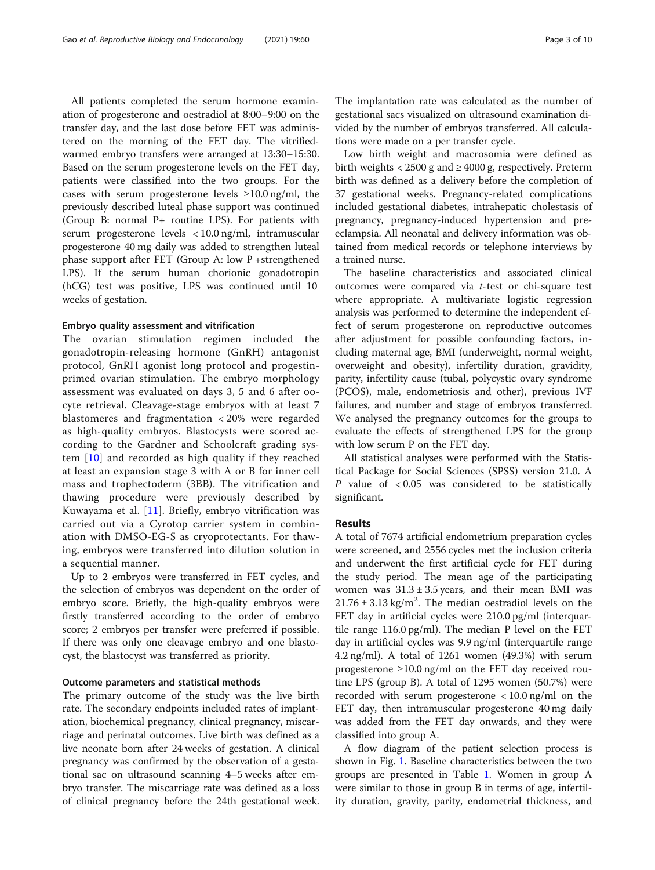All patients completed the serum hormone examination of progesterone and oestradiol at 8:00–9:00 on the transfer day, and the last dose before FET was administered on the morning of the FET day. The vitrifiedwarmed embryo transfers were arranged at 13:30–15:30. Based on the serum progesterone levels on the FET day, patients were classified into the two groups. For the cases with serum progesterone levels  $\geq 10.0$  ng/ml, the previously described luteal phase support was continued (Group B: normal P+ routine LPS). For patients with serum progesterone levels < 10.0 ng/ml, intramuscular progesterone 40 mg daily was added to strengthen luteal phase support after FET (Group A: low P +strengthened LPS). If the serum human chorionic gonadotropin (hCG) test was positive, LPS was continued until 10 weeks of gestation.

#### Embryo quality assessment and vitrification

The ovarian stimulation regimen included the gonadotropin-releasing hormone (GnRH) antagonist protocol, GnRH agonist long protocol and progestinprimed ovarian stimulation. The embryo morphology assessment was evaluated on days 3, 5 and 6 after oocyte retrieval. Cleavage-stage embryos with at least 7 blastomeres and fragmentation < 20% were regarded as high-quality embryos. Blastocysts were scored according to the Gardner and Schoolcraft grading system [[10](#page-9-0)] and recorded as high quality if they reached at least an expansion stage 3 with A or B for inner cell mass and trophectoderm (3BB). The vitrification and thawing procedure were previously described by Kuwayama et al. [[11](#page-9-0)]. Briefly, embryo vitrification was carried out via a Cyrotop carrier system in combination with DMSO-EG-S as cryoprotectants. For thawing, embryos were transferred into dilution solution in a sequential manner.

Up to 2 embryos were transferred in FET cycles, and the selection of embryos was dependent on the order of embryo score. Briefly, the high-quality embryos were firstly transferred according to the order of embryo score; 2 embryos per transfer were preferred if possible. If there was only one cleavage embryo and one blastocyst, the blastocyst was transferred as priority.

#### Outcome parameters and statistical methods

The primary outcome of the study was the live birth rate. The secondary endpoints included rates of implantation, biochemical pregnancy, clinical pregnancy, miscarriage and perinatal outcomes. Live birth was defined as a live neonate born after 24 weeks of gestation. A clinical pregnancy was confirmed by the observation of a gestational sac on ultrasound scanning 4–5 weeks after embryo transfer. The miscarriage rate was defined as a loss of clinical pregnancy before the 24th gestational week. The implantation rate was calculated as the number of gestational sacs visualized on ultrasound examination divided by the number of embryos transferred. All calculations were made on a per transfer cycle.

Low birth weight and macrosomia were defined as birth weights  $\langle 2500 \text{ g} \rangle$  and  $\geq 4000 \text{ g}$ , respectively. Preterm birth was defined as a delivery before the completion of 37 gestational weeks. Pregnancy-related complications included gestational diabetes, intrahepatic cholestasis of pregnancy, pregnancy-induced hypertension and preeclampsia. All neonatal and delivery information was obtained from medical records or telephone interviews by a trained nurse.

The baseline characteristics and associated clinical outcomes were compared via t-test or chi-square test where appropriate. A multivariate logistic regression analysis was performed to determine the independent effect of serum progesterone on reproductive outcomes after adjustment for possible confounding factors, including maternal age, BMI (underweight, normal weight, overweight and obesity), infertility duration, gravidity, parity, infertility cause (tubal, polycystic ovary syndrome (PCOS), male, endometriosis and other), previous IVF failures, and number and stage of embryos transferred. We analysed the pregnancy outcomes for the groups to evaluate the effects of strengthened LPS for the group with low serum P on the FET day.

All statistical analyses were performed with the Statistical Package for Social Sciences (SPSS) version 21.0. A P value of  $< 0.05$  was considered to be statistically significant.

#### Results

A total of 7674 artificial endometrium preparation cycles were screened, and 2556 cycles met the inclusion criteria and underwent the first artificial cycle for FET during the study period. The mean age of the participating women was  $31.3 \pm 3.5$  years, and their mean BMI was  $21.76 \pm 3.13$  kg/m<sup>2</sup>. The median oestradiol levels on the FET day in artificial cycles were 210.0 pg/ml (interquartile range 116.0 pg/ml). The median P level on the FET day in artificial cycles was 9.9 ng/ml (interquartile range 4.2 ng/ml). A total of 1261 women (49.3%) with serum progesterone ≥10.0 ng/ml on the FET day received routine LPS (group B). A total of 1295 women (50.7%) were recorded with serum progesterone < 10.0 ng/ml on the FET day, then intramuscular progesterone 40 mg daily was added from the FET day onwards, and they were classified into group A.

A flow diagram of the patient selection process is shown in Fig. [1.](#page-3-0) Baseline characteristics between the two groups are presented in Table [1.](#page-4-0) Women in group A were similar to those in group B in terms of age, infertility duration, gravity, parity, endometrial thickness, and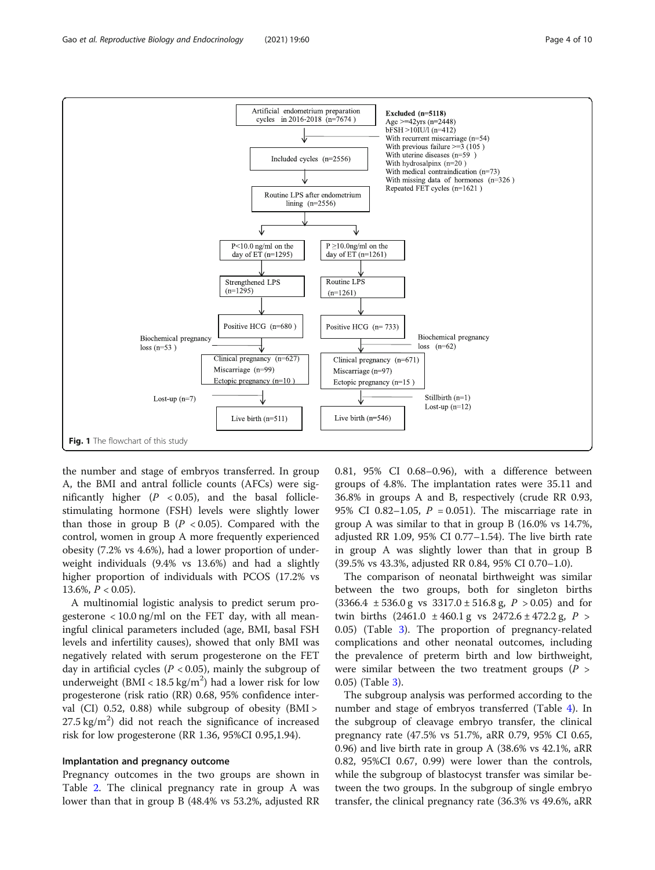<span id="page-3-0"></span>

the number and stage of embryos transferred. In group A, the BMI and antral follicle counts (AFCs) were significantly higher  $(P < 0.05)$ , and the basal folliclestimulating hormone (FSH) levels were slightly lower than those in group B  $(P < 0.05)$ . Compared with the control, women in group A more frequently experienced obesity (7.2% vs 4.6%), had a lower proportion of underweight individuals (9.4% vs 13.6%) and had a slightly higher proportion of individuals with PCOS (17.2% vs 13.6%,  $P < 0.05$ ).

A multinomial logistic analysis to predict serum progesterone  $< 10.0$  ng/ml on the FET day, with all meaningful clinical parameters included (age, BMI, basal FSH levels and infertility causes), showed that only BMI was negatively related with serum progesterone on the FET day in artificial cycles ( $P < 0.05$ ), mainly the subgroup of underweight ( $BMI < 18.5 \text{ kg/m}^2$ ) had a lower risk for low progesterone (risk ratio (RR) 0.68, 95% confidence interval (CI) 0.52, 0.88) while subgroup of obesity (BMI >  $27.5 \text{ kg/m}^2$ ) did not reach the significance of increased risk for low progesterone (RR 1.36, 95%CI 0.95,1.94).

### Implantation and pregnancy outcome

Pregnancy outcomes in the two groups are shown in Table [2.](#page-5-0) The clinical pregnancy rate in group A was lower than that in group B (48.4% vs 53.2%, adjusted RR 0.81, 95% CI 0.68–0.96), with a difference between groups of 4.8%. The implantation rates were 35.11 and 36.8% in groups A and B, respectively (crude RR 0.93, 95% CI 0.82–1.05,  $P = 0.051$ ). The miscarriage rate in group A was similar to that in group B (16.0% vs 14.7%, adjusted RR 1.09, 95% CI 0.77–1.54). The live birth rate in group A was slightly lower than that in group B (39.5% vs 43.3%, adjusted RR 0.84, 95% CI 0.70–1.0).

The comparison of neonatal birthweight was similar between the two groups, both for singleton births  $(3366.4 \pm 536.0 \text{ g} \text{ vs } 3317.0 \pm 516.8 \text{ g}, P > 0.05)$  and for twin births  $(2461.0 \pm 460.1 \text{ g} \text{ vs } 2472.6 \pm 472.2 \text{ g}, P >$ 0.05) (Table [3\)](#page-5-0). The proportion of pregnancy-related complications and other neonatal outcomes, including the prevalence of preterm birth and low birthweight, were similar between the two treatment groups ( $P >$ 0.05) (Table [3\)](#page-5-0).

The subgroup analysis was performed according to the number and stage of embryos transferred (Table [4](#page-6-0)). In the subgroup of cleavage embryo transfer, the clinical pregnancy rate (47.5% vs 51.7%, aRR 0.79, 95% CI 0.65, 0.96) and live birth rate in group A (38.6% vs 42.1%, aRR 0.82, 95%CI 0.67, 0.99) were lower than the controls, while the subgroup of blastocyst transfer was similar between the two groups. In the subgroup of single embryo transfer, the clinical pregnancy rate (36.3% vs 49.6%, aRR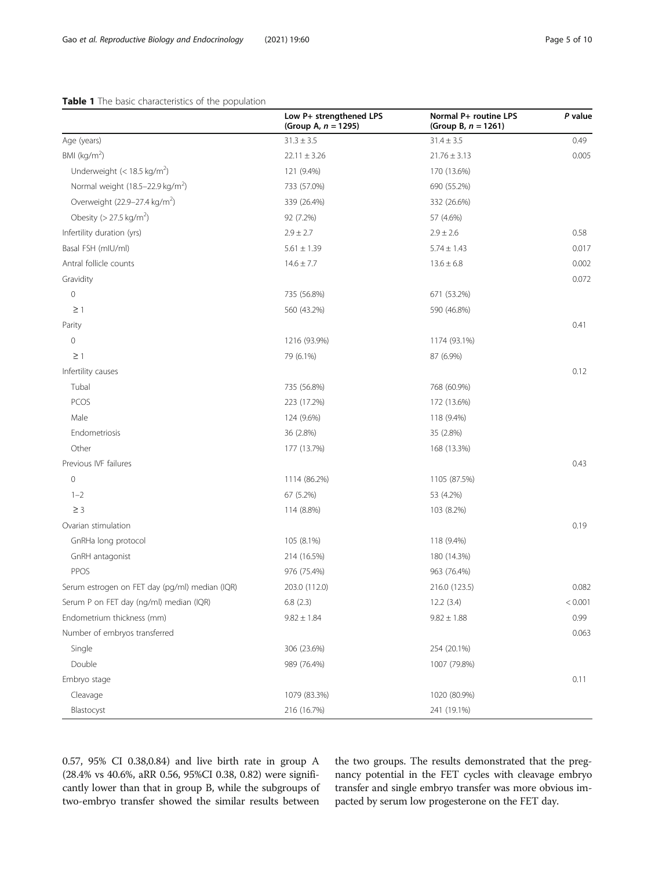## <span id="page-4-0"></span>Table 1 The basic characteristics of the population

|                                                | Low P+ strengthened LPS<br>(Group A, $n = 1295$ ) | Normal P+ routine LPS<br>(Group B, $n = 1261$ ) | P value |
|------------------------------------------------|---------------------------------------------------|-------------------------------------------------|---------|
| Age (years)                                    | $31.3 \pm 3.5$                                    | $31.4 \pm 3.5$                                  | 0.49    |
| BMI ( $kg/m2$ )                                | $22.11 \pm 3.26$                                  | $21.76 \pm 3.13$                                | 0.005   |
| Underweight $(< 18.5 \text{ kg/m}^2)$          | 121 (9.4%)                                        | 170 (13.6%)                                     |         |
| Normal weight (18.5-22.9 kg/m <sup>2</sup> )   | 733 (57.0%)                                       | 690 (55.2%)                                     |         |
| Overweight (22.9–27.4 kg/m <sup>2</sup> )      | 339 (26.4%)                                       | 332 (26.6%)                                     |         |
| Obesity ( $> 27.5$ kg/m <sup>2</sup> )         | 92 (7.2%)                                         | 57 (4.6%)                                       |         |
| Infertility duration (yrs)                     | $2.9 \pm 2.7$                                     | $2.9 \pm 2.6$                                   | 0.58    |
| Basal FSH (mIU/ml)                             | $5.61 \pm 1.39$                                   | $5.74 \pm 1.43$                                 | 0.017   |
| Antral follicle counts                         | $14.6 \pm 7.7$                                    | $13.6 \pm 6.8$                                  | 0.002   |
| Gravidity                                      |                                                   |                                                 | 0.072   |
| $\circ$                                        | 735 (56.8%)                                       | 671 (53.2%)                                     |         |
| $\geq$ 1                                       | 560 (43.2%)                                       | 590 (46.8%)                                     |         |
| Parity                                         |                                                   |                                                 | 0.41    |
| $\circ$                                        | 1216 (93.9%)                                      | 1174 (93.1%)                                    |         |
| $\geq$ 1                                       | 79 (6.1%)                                         | 87 (6.9%)                                       |         |
| Infertility causes                             |                                                   |                                                 | 0.12    |
| Tubal                                          | 735 (56.8%)                                       | 768 (60.9%)                                     |         |
| PCOS                                           | 223 (17.2%)                                       | 172 (13.6%)                                     |         |
| Male                                           | 124 (9.6%)                                        | 118 (9.4%)                                      |         |
| Endometriosis                                  | 36 (2.8%)                                         | 35 (2.8%)                                       |         |
| Other                                          | 177 (13.7%)                                       | 168 (13.3%)                                     |         |
| Previous IVF failures                          |                                                   |                                                 | 0.43    |
| $\mathbf 0$                                    | 1114 (86.2%)                                      | 1105 (87.5%)                                    |         |
| $1 - 2$                                        | 67 (5.2%)                                         | 53 (4.2%)                                       |         |
| $\geq$ 3                                       | 114 (8.8%)                                        | 103 (8.2%)                                      |         |
| Ovarian stimulation                            |                                                   |                                                 | 0.19    |
| GnRHa long protocol                            | 105 (8.1%)                                        | 118 (9.4%)                                      |         |
| GnRH antagonist                                | 214 (16.5%)                                       | 180 (14.3%)                                     |         |
| PPOS                                           | 976 (75.4%)                                       | 963 (76.4%)                                     |         |
| Serum estrogen on FET day (pg/ml) median (IQR) | 203.0 (112.0)                                     | 216.0 (123.5)                                   | 0.082   |
| Serum P on FET day (ng/ml) median (IQR)        | 6.8(2.3)                                          | 12.2(3.4)                                       | < 0.001 |
| Endometrium thickness (mm)                     | $9.82 \pm 1.84$                                   | $9.82 \pm 1.88$                                 | 0.99    |
| Number of embryos transferred                  |                                                   |                                                 | 0.063   |
| Single                                         | 306 (23.6%)                                       | 254 (20.1%)                                     |         |
| Double                                         | 989 (76.4%)                                       | 1007 (79.8%)                                    |         |
| Embryo stage                                   |                                                   |                                                 | 0.11    |
| Cleavage                                       | 1079 (83.3%)                                      | 1020 (80.9%)                                    |         |
| Blastocyst                                     | 216 (16.7%)                                       | 241 (19.1%)                                     |         |

0.57, 95% CI 0.38,0.84) and live birth rate in group A (28.4% vs 40.6%, aRR 0.56, 95%CI 0.38, 0.82) were significantly lower than that in group B, while the subgroups of two-embryo transfer showed the similar results between

the two groups. The results demonstrated that the pregnancy potential in the FET cycles with cleavage embryo transfer and single embryo transfer was more obvious impacted by serum low progesterone on the FET day.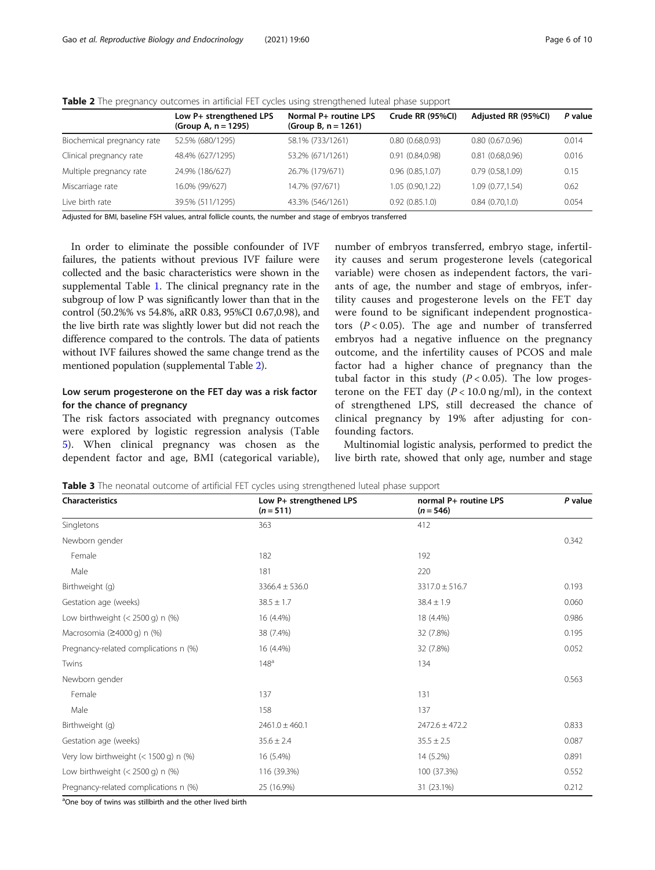|                            | Low P+ strengthened LPS<br>(Group A, $n = 1295$ ) | Normal P+ routine LPS<br>(Group B, $n = 1261$ ) | Crude RR (95%CI) | Adjusted RR (95%CI) | P value |
|----------------------------|---------------------------------------------------|-------------------------------------------------|------------------|---------------------|---------|
| Biochemical pregnancy rate | 52.5% (680/1295)                                  | 58.1% (733/1261)                                | 0.80(0.68,0.93)  | 0.80(0.67.0.96)     | 0.014   |
| Clinical pregnancy rate    | 48.4% (627/1295)                                  | 53.2% (671/1261)                                | 0.91(0.84, 0.98) | 0.81(0.68,0.96)     | 0.016   |
| Multiple pregnancy rate    | 24.9% (186/627)                                   | 26.7% (179/671)                                 | 0.96(0.85,1.07)  | 0.79(0.58.1.09)     | 0.15    |
| Miscarriage rate           | 16.0% (99/627)                                    | 14.7% (97/671)                                  | 1.05(0.90, 1.22) | 1.09 (0.77,1.54)    | 0.62    |
| Live birth rate            | 39.5% (511/1295)                                  | 43.3% (546/1261)                                | 0.92(0.85.1.0)   | 0.84(0.70.1.0)      | 0.054   |

<span id="page-5-0"></span>

| Table 2 The pregnancy outcomes in artificial FET cycles using strengthened luteal phase support |  |  |  |
|-------------------------------------------------------------------------------------------------|--|--|--|
|-------------------------------------------------------------------------------------------------|--|--|--|

Adjusted for BMI, baseline FSH values, antral follicle counts, the number and stage of embryos transferred

In order to eliminate the possible confounder of IVF failures, the patients without previous IVF failure were collected and the basic characteristics were shown in the supplemental Table [1](#page-8-0). The clinical pregnancy rate in the subgroup of low P was significantly lower than that in the control (50.2%% vs 54.8%, aRR 0.83, 95%CI 0.67,0.98), and the live birth rate was slightly lower but did not reach the difference compared to the controls. The data of patients without IVF failures showed the same change trend as the mentioned population (supplemental Table [2](#page-8-0)).

## Low serum progesterone on the FET day was a risk factor for the chance of pregnancy

The risk factors associated with pregnancy outcomes were explored by logistic regression analysis (Table [5\)](#page-6-0). When clinical pregnancy was chosen as the dependent factor and age, BMI (categorical variable),

number of embryos transferred, embryo stage, infertility causes and serum progesterone levels (categorical variable) were chosen as independent factors, the variants of age, the number and stage of embryos, infertility causes and progesterone levels on the FET day were found to be significant independent prognosticators  $(P < 0.05)$ . The age and number of transferred embryos had a negative influence on the pregnancy outcome, and the infertility causes of PCOS and male factor had a higher chance of pregnancy than the tubal factor in this study  $(P < 0.05)$ . The low progesterone on the FET day  $(P < 10.0$  ng/ml), in the context of strengthened LPS, still decreased the chance of clinical pregnancy by 19% after adjusting for confounding factors.

Multinomial logistic analysis, performed to predict the live birth rate, showed that only age, number and stage

Table 3 The neonatal outcome of artificial FET cycles using strengthened luteal phase support

| <b>Characteristics</b>                  | Low P+ strengthened LPS<br>$(n = 511)$ | normal P+ routine LPS<br>$(n = 546)$ | P value |  |
|-----------------------------------------|----------------------------------------|--------------------------------------|---------|--|
| Singletons                              | 363                                    | 412                                  |         |  |
| Newborn gender                          |                                        |                                      | 0.342   |  |
| Female                                  | 182                                    | 192                                  |         |  |
| Male                                    | 181                                    | 220                                  |         |  |
| Birthweight (g)                         | $3366.4 \pm 536.0$                     | $3317.0 \pm 516.7$                   | 0.193   |  |
| Gestation age (weeks)                   | $38.5 \pm 1.7$                         | $38.4 \pm 1.9$                       | 0.060   |  |
| Low birthweight $(< 2500$ g) n $%$      | 16 (4.4%)                              | 18 (4.4%)                            | 0.986   |  |
| Macrosomia $(24000 q)$ n $(%)$          | 38 (7.4%)                              | 32 (7.8%)                            | 0.195   |  |
| Pregnancy-related complications n (%)   | 16 (4.4%)                              | 32 (7.8%)                            | 0.052   |  |
| Twins                                   | 148 <sup>a</sup>                       | 134                                  |         |  |
| Newborn gender                          |                                        |                                      | 0.563   |  |
| Female                                  | 137                                    | 131                                  |         |  |
| Male                                    | 158                                    | 137                                  |         |  |
| Birthweight (g)                         | $2461.0 \pm 460.1$                     | $2472.6 \pm 472.2$                   | 0.833   |  |
| Gestation age (weeks)                   | $35.6 \pm 2.4$                         | $35.5 \pm 2.5$                       | 0.087   |  |
| Very low birthweight $(< 1500$ g) n $%$ | 16 (5.4%)                              | 14 (5.2%)                            | 0.891   |  |
| Low birthweight $(< 2500$ g) n $%$      | 116 (39.3%)                            | 100 (37.3%)                          | 0.552   |  |
| Pregnancy-related complications n (%)   | 25 (16.9%)                             | 31 (23.1%)                           | 0.212   |  |

<sup>a</sup>One boy of twins was stillbirth and the other lived birth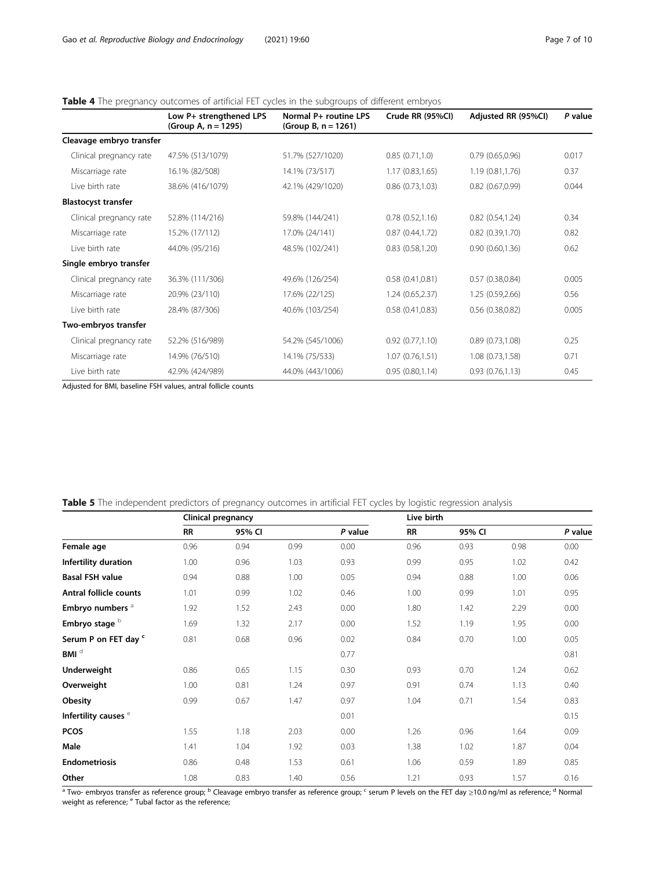## <span id="page-6-0"></span>Table 4 The pregnancy outcomes of artificial FET cycles in the subgroups of different embryos

|                            | Low P+ strengthened LPS<br>(Group A, n = 1295) | Normal P+ routine LPS<br>(Group B, $n = 1261$ ) | Crude RR (95%CI) | Adjusted RR (95%CI) | P value |
|----------------------------|------------------------------------------------|-------------------------------------------------|------------------|---------------------|---------|
| Cleavage embryo transfer   |                                                |                                                 |                  |                     |         |
| Clinical pregnancy rate    | 47.5% (513/1079)                               | 51.7% (527/1020)                                | 0.85(0.71,1.0)   | 0.79(0.65,0.96)     | 0.017   |
| Miscarriage rate           | 16.1% (82/508)                                 | 14.1% (73/517)                                  | 1.17(0.83, 1.65) | 1.19(0.81, 1.76)    | 0.37    |
| Live birth rate            | 38.6% (416/1079)                               | 42.1% (429/1020)                                | 0.86(0.73,1.03)  | $0.82$ (0.67,0.99)  | 0.044   |
| <b>Blastocyst transfer</b> |                                                |                                                 |                  |                     |         |
| Clinical pregnancy rate    | 52.8% (114/216)                                | 59.8% (144/241)                                 | 0.78(0.52,1.16)  | 0.82(0.54, 1.24)    | 0.34    |
| Miscarriage rate           | 15.2% (17/112)                                 | 17.0% (24/141)                                  | 0.87(0.44, 1.72) | 0.82(0.39,1.70)     | 0.82    |
| Live birth rate            | 44.0% (95/216)                                 | 48.5% (102/241)                                 | 0.83(0.58, 1.20) | 0.90(0.60, 1.36)    | 0.62    |
| Single embryo transfer     |                                                |                                                 |                  |                     |         |
| Clinical pregnancy rate    | 36.3% (111/306)                                | 49.6% (126/254)                                 | 0.58(0.41, 0.81) | 0.57(0.38,0.84)     | 0.005   |
| Miscarriage rate           | 20.9% (23/110)                                 | 17.6% (22/125)                                  | 1.24(0.65, 2.37) | 1.25(0.59, 2.66)    | 0.56    |
| Live birth rate            | 28.4% (87/306)                                 | 40.6% (103/254)                                 | 0.58(0.41, 0.83) | 0.56(0.38, 0.82)    | 0.005   |
| Two-embryos transfer       |                                                |                                                 |                  |                     |         |
| Clinical pregnancy rate    | 52.2% (516/989)                                | 54.2% (545/1006)                                | 0.92(0.77,1.10)  | 0.89(0.73,1.08)     | 0.25    |
| Miscarriage rate           | 14.9% (76/510)                                 | 14.1% (75/533)                                  | 1.07(0.76, 1.51) | 1.08 (0.73,1.58)    | 0.71    |
| Live birth rate            | 42.9% (424/989)                                | 44.0% (443/1006)                                | 0.95(0.80, 1.14) | 0.93(0.76,1.13)     | 0.45    |

Adjusted for BMI, baseline FSH values, antral follicle counts

|                                 | Clinical pregnancy |        |      | Live birth |           |        |      |         |
|---------------------------------|--------------------|--------|------|------------|-----------|--------|------|---------|
|                                 | RR                 | 95% CI |      | P value    | <b>RR</b> | 95% CI |      | P value |
| Female age                      | 0.96               | 0.94   | 0.99 | 0.00       | 0.96      | 0.93   | 0.98 | 0.00    |
| Infertility duration            | 1.00               | 0.96   | 1.03 | 0.93       | 0.99      | 0.95   | 1.02 | 0.42    |
| <b>Basal FSH value</b>          | 0.94               | 0.88   | 1.00 | 0.05       | 0.94      | 0.88   | 1.00 | 0.06    |
| <b>Antral follicle counts</b>   | 1.01               | 0.99   | 1.02 | 0.46       | 1.00      | 0.99   | 1.01 | 0.95    |
| Embryo numbers <sup>a</sup>     | 1.92               | 1.52   | 2.43 | 0.00       | 1.80      | 1.42   | 2.29 | 0.00    |
| Embryo stage b                  | 1.69               | 1.32   | 2.17 | 0.00       | 1.52      | 1.19   | 1.95 | 0.00    |
| Serum P on FET day "            | 0.81               | 0.68   | 0.96 | 0.02       | 0.84      | 0.70   | 1.00 | 0.05    |
| $BM$ <sup>d</sup>               |                    |        |      | 0.77       |           |        |      | 0.81    |
| Underweight                     | 0.86               | 0.65   | 1.15 | 0.30       | 0.93      | 0.70   | 1.24 | 0.62    |
| Overweight                      | 1.00               | 0.81   | 1.24 | 0.97       | 0.91      | 0.74   | 1.13 | 0.40    |
| Obesity                         | 0.99               | 0.67   | 1.47 | 0.97       | 1.04      | 0.71   | 1.54 | 0.83    |
| Infertility causes <sup>e</sup> |                    |        |      | 0.01       |           |        |      | 0.15    |
| <b>PCOS</b>                     | 1.55               | 1.18   | 2.03 | 0.00       | 1.26      | 0.96   | 1.64 | 0.09    |
| Male                            | 1.41               | 1.04   | 1.92 | 0.03       | 1.38      | 1.02   | 1.87 | 0.04    |
| <b>Endometriosis</b>            | 0.86               | 0.48   | 1.53 | 0.61       | 1.06      | 0.59   | 1.89 | 0.85    |
| Other                           | 1.08               | 0.83   | 1.40 | 0.56       | 1.21      | 0.93   | 1.57 | 0.16    |

Table 5 The independent predictors of pregnancy outcomes in artificial FET cycles by logistic regression analysis

 $a$  Two- embryos transfer as reference group; <sup>b</sup> Cleavage embryo transfer as reference group; <sup>c</sup> serum P levels on the FET day ≥10.0 ng/ml as reference; <sup>d</sup> Normal weight as reference; <sup>e</sup> Tubal factor as the reference;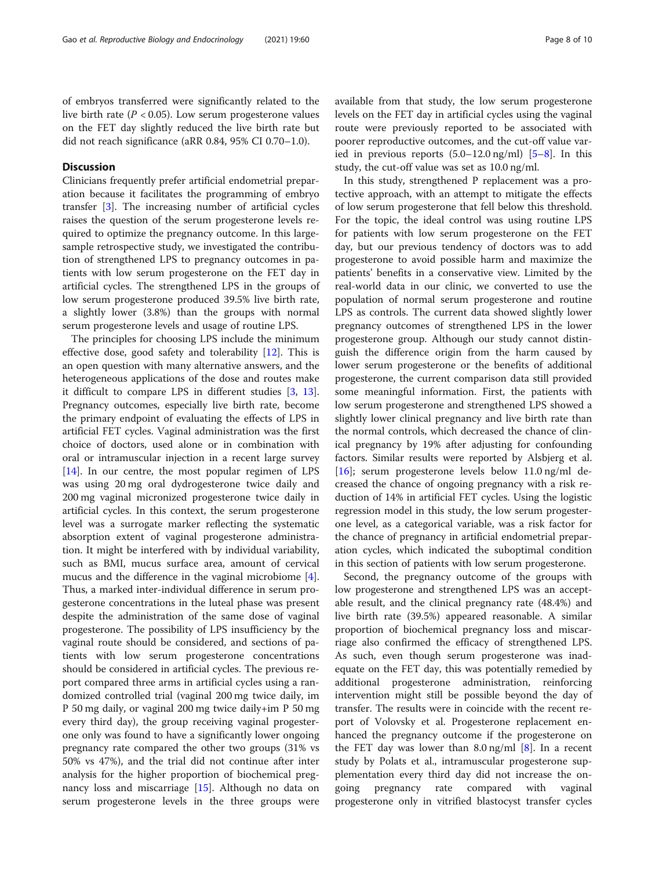## **Discussion**

Clinicians frequently prefer artificial endometrial preparation because it facilitates the programming of embryo transfer [\[3](#page-9-0)]. The increasing number of artificial cycles raises the question of the serum progesterone levels required to optimize the pregnancy outcome. In this largesample retrospective study, we investigated the contribution of strengthened LPS to pregnancy outcomes in patients with low serum progesterone on the FET day in artificial cycles. The strengthened LPS in the groups of low serum progesterone produced 39.5% live birth rate, a slightly lower (3.8%) than the groups with normal serum progesterone levels and usage of routine LPS.

The principles for choosing LPS include the minimum effective dose, good safety and tolerability [\[12\]](#page-9-0). This is an open question with many alternative answers, and the heterogeneous applications of the dose and routes make it difficult to compare LPS in different studies [[3,](#page-9-0) [13](#page-9-0)]. Pregnancy outcomes, especially live birth rate, become the primary endpoint of evaluating the effects of LPS in artificial FET cycles. Vaginal administration was the first choice of doctors, used alone or in combination with oral or intramuscular injection in a recent large survey [[14\]](#page-9-0). In our centre, the most popular regimen of LPS was using 20 mg oral dydrogesterone twice daily and 200 mg vaginal micronized progesterone twice daily in artificial cycles. In this context, the serum progesterone level was a surrogate marker reflecting the systematic absorption extent of vaginal progesterone administration. It might be interfered with by individual variability, such as BMI, mucus surface area, amount of cervical mucus and the difference in the vaginal microbiome [\[4](#page-9-0)]. Thus, a marked inter-individual difference in serum progesterone concentrations in the luteal phase was present despite the administration of the same dose of vaginal progesterone. The possibility of LPS insufficiency by the vaginal route should be considered, and sections of patients with low serum progesterone concentrations should be considered in artificial cycles. The previous report compared three arms in artificial cycles using a randomized controlled trial (vaginal 200 mg twice daily, im P 50 mg daily, or vaginal 200 mg twice daily+im P 50 mg every third day), the group receiving vaginal progesterone only was found to have a significantly lower ongoing pregnancy rate compared the other two groups (31% vs 50% vs 47%), and the trial did not continue after inter analysis for the higher proportion of biochemical pregnancy loss and miscarriage [[15\]](#page-9-0). Although no data on serum progesterone levels in the three groups were available from that study, the low serum progesterone levels on the FET day in artificial cycles using the vaginal route were previously reported to be associated with poorer reproductive outcomes, and the cut-off value varied in previous reports (5.0–12.0 ng/ml) [\[5](#page-9-0)–[8\]](#page-9-0). In this study, the cut-off value was set as 10.0 ng/ml.

In this study, strengthened P replacement was a protective approach, with an attempt to mitigate the effects of low serum progesterone that fell below this threshold. For the topic, the ideal control was using routine LPS for patients with low serum progesterone on the FET day, but our previous tendency of doctors was to add progesterone to avoid possible harm and maximize the patients' benefits in a conservative view. Limited by the real-world data in our clinic, we converted to use the population of normal serum progesterone and routine LPS as controls. The current data showed slightly lower pregnancy outcomes of strengthened LPS in the lower progesterone group. Although our study cannot distinguish the difference origin from the harm caused by lower serum progesterone or the benefits of additional progesterone, the current comparison data still provided some meaningful information. First, the patients with low serum progesterone and strengthened LPS showed a slightly lower clinical pregnancy and live birth rate than the normal controls, which decreased the chance of clinical pregnancy by 19% after adjusting for confounding factors. Similar results were reported by Alsbjerg et al. [[16\]](#page-9-0); serum progesterone levels below 11.0 ng/ml decreased the chance of ongoing pregnancy with a risk reduction of 14% in artificial FET cycles. Using the logistic regression model in this study, the low serum progesterone level, as a categorical variable, was a risk factor for the chance of pregnancy in artificial endometrial preparation cycles, which indicated the suboptimal condition in this section of patients with low serum progesterone.

Second, the pregnancy outcome of the groups with low progesterone and strengthened LPS was an acceptable result, and the clinical pregnancy rate (48.4%) and live birth rate (39.5%) appeared reasonable. A similar proportion of biochemical pregnancy loss and miscarriage also confirmed the efficacy of strengthened LPS. As such, even though serum progesterone was inadequate on the FET day, this was potentially remedied by additional progesterone administration, reinforcing intervention might still be possible beyond the day of transfer. The results were in coincide with the recent report of Volovsky et al. Progesterone replacement enhanced the pregnancy outcome if the progesterone on the FET day was lower than  $8.0 \text{ ng/ml } [8]$  $8.0 \text{ ng/ml } [8]$ . In a recent study by Polats et al., intramuscular progesterone supplementation every third day did not increase the ongoing pregnancy rate compared with vaginal progesterone only in vitrified blastocyst transfer cycles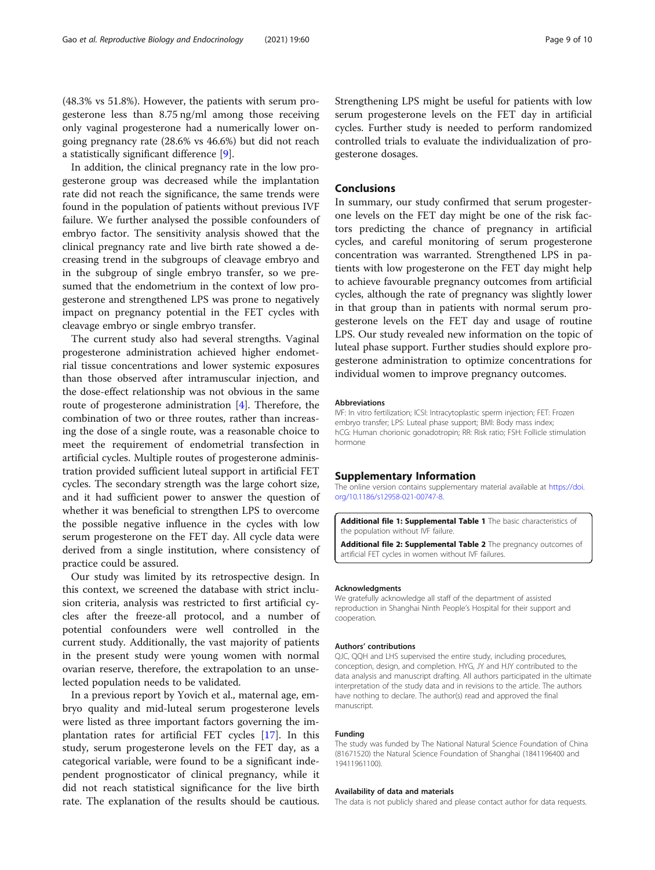<span id="page-8-0"></span>(48.3% vs 51.8%). However, the patients with serum progesterone less than 8.75 ng/ml among those receiving only vaginal progesterone had a numerically lower ongoing pregnancy rate (28.6% vs 46.6%) but did not reach a statistically significant difference [[9\]](#page-9-0).

In addition, the clinical pregnancy rate in the low progesterone group was decreased while the implantation rate did not reach the significance, the same trends were found in the population of patients without previous IVF failure. We further analysed the possible confounders of embryo factor. The sensitivity analysis showed that the clinical pregnancy rate and live birth rate showed a decreasing trend in the subgroups of cleavage embryo and in the subgroup of single embryo transfer, so we presumed that the endometrium in the context of low progesterone and strengthened LPS was prone to negatively impact on pregnancy potential in the FET cycles with cleavage embryo or single embryo transfer.

The current study also had several strengths. Vaginal progesterone administration achieved higher endometrial tissue concentrations and lower systemic exposures than those observed after intramuscular injection, and the dose-effect relationship was not obvious in the same route of progesterone administration [\[4](#page-9-0)]. Therefore, the combination of two or three routes, rather than increasing the dose of a single route, was a reasonable choice to meet the requirement of endometrial transfection in artificial cycles. Multiple routes of progesterone administration provided sufficient luteal support in artificial FET cycles. The secondary strength was the large cohort size, and it had sufficient power to answer the question of whether it was beneficial to strengthen LPS to overcome the possible negative influence in the cycles with low serum progesterone on the FET day. All cycle data were derived from a single institution, where consistency of practice could be assured.

Our study was limited by its retrospective design. In this context, we screened the database with strict inclusion criteria, analysis was restricted to first artificial cycles after the freeze-all protocol, and a number of potential confounders were well controlled in the current study. Additionally, the vast majority of patients in the present study were young women with normal ovarian reserve, therefore, the extrapolation to an unselected population needs to be validated.

In a previous report by Yovich et al., maternal age, embryo quality and mid-luteal serum progesterone levels were listed as three important factors governing the implantation rates for artificial FET cycles [[17](#page-9-0)]. In this study, serum progesterone levels on the FET day, as a categorical variable, were found to be a significant independent prognosticator of clinical pregnancy, while it did not reach statistical significance for the live birth rate. The explanation of the results should be cautious. Strengthening LPS might be useful for patients with low serum progesterone levels on the FET day in artificial cycles. Further study is needed to perform randomized controlled trials to evaluate the individualization of progesterone dosages.

## Conclusions

In summary, our study confirmed that serum progesterone levels on the FET day might be one of the risk factors predicting the chance of pregnancy in artificial cycles, and careful monitoring of serum progesterone concentration was warranted. Strengthened LPS in patients with low progesterone on the FET day might help to achieve favourable pregnancy outcomes from artificial cycles, although the rate of pregnancy was slightly lower in that group than in patients with normal serum progesterone levels on the FET day and usage of routine LPS. Our study revealed new information on the topic of luteal phase support. Further studies should explore progesterone administration to optimize concentrations for individual women to improve pregnancy outcomes.

#### Abbreviations

IVF: In vitro fertilization; ICSI: Intracytoplastic sperm injection; FET: Frozen embryo transfer; LPS: Luteal phase support; BMI: Body mass index; hCG: Human chorionic gonadotropin; RR: Risk ratio; FSH: Follicle stimulation hormone

#### Supplementary Information

The online version contains supplementary material available at [https://doi.](https://doi.org/10.1186/s12958-021-00747-8) [org/10.1186/s12958-021-00747-8.](https://doi.org/10.1186/s12958-021-00747-8)

Additional file 1: Supplemental Table 1 The basic characteristics of the population without IVF failure.

Additional file 2: Supplemental Table 2 The pregnancy outcomes of artificial FET cycles in women without IVF failures.

#### Acknowledgments

We gratefully acknowledge all staff of the department of assisted reproduction in Shanghai Ninth People's Hospital for their support and cooperation.

#### Authors' contributions

QJC, QQH and LHS supervised the entire study, including procedures, conception, design, and completion. HYG, JY and HJY contributed to the data analysis and manuscript drafting. All authors participated in the ultimate interpretation of the study data and in revisions to the article. The authors have nothing to declare. The author(s) read and approved the final manuscript.

#### Funding

The study was funded by The National Natural Science Foundation of China (81671520) the Natural Science Foundation of Shanghai (1841196400 and 19411961100).

#### Availability of data and materials

The data is not publicly shared and please contact author for data requests.